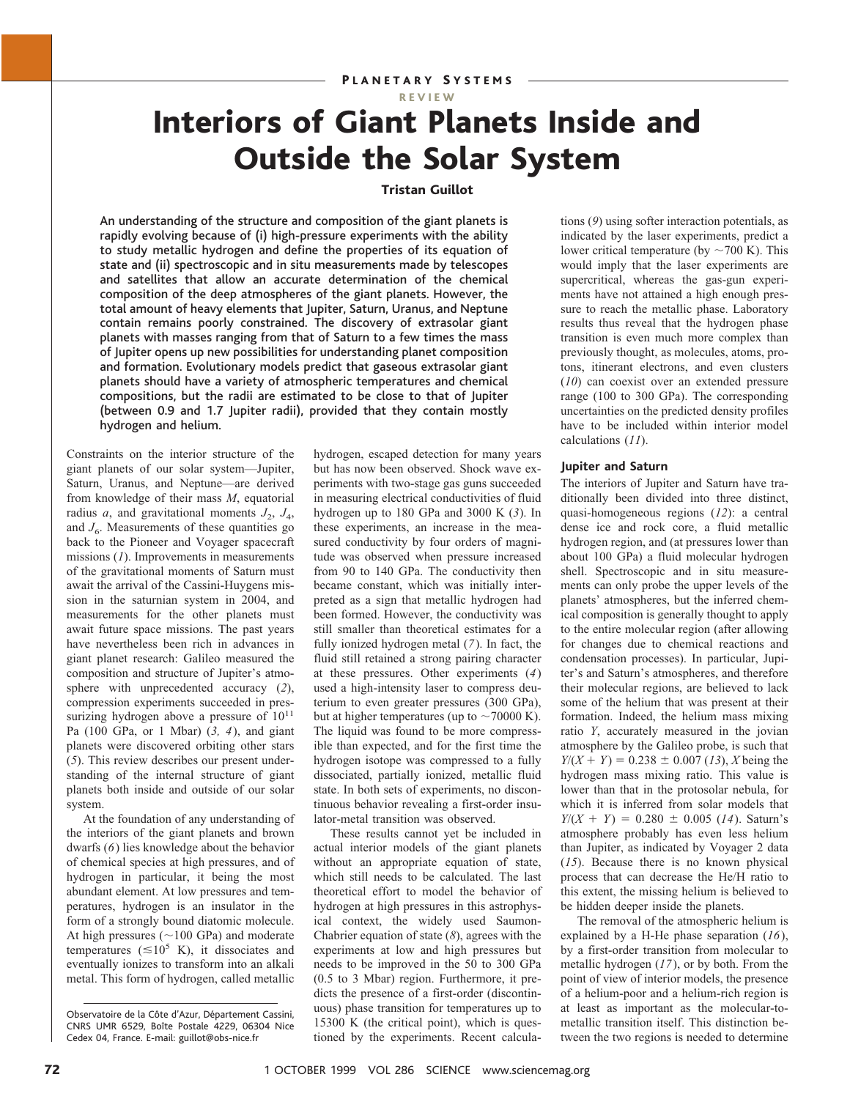REVIEW

# Interiors of Giant Planets Inside and Outside the Solar System

## Tristan Guillot

An understanding of the structure and composition of the giant planets is rapidly evolving because of (i) high-pressure experiments with the ability to study metallic hydrogen and define the properties of its equation of state and (ii) spectroscopic and in situ measurements made by telescopes and satellites that allow an accurate determination of the chemical composition of the deep atmospheres of the giant planets. However, the total amount of heavy elements that Jupiter, Saturn, Uranus, and Neptune contain remains poorly constrained. The discovery of extrasolar giant planets with masses ranging from that of Saturn to a few times the mass of Jupiter opens up new possibilities for understanding planet composition and formation. Evolutionary models predict that gaseous extrasolar giant planets should have a variety of atmospheric temperatures and chemical compositions, but the radii are estimated to be close to that of Jupiter (between 0.9 and 1.7 Jupiter radii), provided that they contain mostly hydrogen and helium.

Constraints on the interior structure of the giant planets of our solar system—Jupiter, Saturn, Uranus, and Neptune—are derived from knowledge of their mass *M*, equatorial radius *a*, and gravitational moments  $J_2$ ,  $J_4$ , and  $J<sub>6</sub>$ . Measurements of these quantities go back to the Pioneer and Voyager spacecraft missions (*1*). Improvements in measurements of the gravitational moments of Saturn must await the arrival of the Cassini-Huygens mission in the saturnian system in 2004, and measurements for the other planets must await future space missions. The past years have nevertheless been rich in advances in giant planet research: Galileo measured the composition and structure of Jupiter's atmosphere with unprecedented accuracy (*2*), compression experiments succeeded in pressurizing hydrogen above a pressure of  $10^{11}$ Pa (100 GPa, or 1 Mbar) (*3, 4*), and giant planets were discovered orbiting other stars (*5*). This review describes our present understanding of the internal structure of giant planets both inside and outside of our solar system.

At the foundation of any understanding of the interiors of the giant planets and brown dwarfs (*6*) lies knowledge about the behavior of chemical species at high pressures, and of hydrogen in particular, it being the most abundant element. At low pressures and temperatures, hydrogen is an insulator in the form of a strongly bound diatomic molecule. At high pressures  $(\sim 100 \text{ GPa})$  and moderate temperatures ( $\leq 10^5$  K), it dissociates and eventually ionizes to transform into an alkali metal. This form of hydrogen, called metallic hydrogen, escaped detection for many years but has now been observed. Shock wave experiments with two-stage gas guns succeeded in measuring electrical conductivities of fluid hydrogen up to 180 GPa and 3000 K (*3*). In these experiments, an increase in the measured conductivity by four orders of magnitude was observed when pressure increased from 90 to 140 GPa. The conductivity then became constant, which was initially interpreted as a sign that metallic hydrogen had been formed. However, the conductivity was still smaller than theoretical estimates for a fully ionized hydrogen metal (*7*). In fact, the fluid still retained a strong pairing character at these pressures. Other experiments (*4*) used a high-intensity laser to compress deuterium to even greater pressures (300 GPa), but at higher temperatures (up to  $\sim$  70000 K). The liquid was found to be more compressible than expected, and for the first time the hydrogen isotope was compressed to a fully dissociated, partially ionized, metallic fluid state. In both sets of experiments, no discontinuous behavior revealing a first-order insulator-metal transition was observed.

These results cannot yet be included in actual interior models of the giant planets without an appropriate equation of state, which still needs to be calculated. The last theoretical effort to model the behavior of hydrogen at high pressures in this astrophysical context, the widely used Saumon-Chabrier equation of state (*8*), agrees with the experiments at low and high pressures but needs to be improved in the 50 to 300 GPa (0.5 to 3 Mbar) region. Furthermore, it predicts the presence of a first-order (discontinuous) phase transition for temperatures up to 15300 K (the critical point), which is questioned by the experiments. Recent calculations (*9*) using softer interaction potentials, as indicated by the laser experiments, predict a lower critical temperature (by  $\sim$  700 K). This would imply that the laser experiments are supercritical, whereas the gas-gun experiments have not attained a high enough pressure to reach the metallic phase. Laboratory results thus reveal that the hydrogen phase transition is even much more complex than previously thought, as molecules, atoms, protons, itinerant electrons, and even clusters (*10*) can coexist over an extended pressure range (100 to 300 GPa). The corresponding uncertainties on the predicted density profiles have to be included within interior model calculations (*11*).

## **Jupiter and Saturn**

The interiors of Jupiter and Saturn have traditionally been divided into three distinct, quasi-homogeneous regions (*12*): a central dense ice and rock core, a fluid metallic hydrogen region, and (at pressures lower than about 100 GPa) a fluid molecular hydrogen shell. Spectroscopic and in situ measurements can only probe the upper levels of the planets' atmospheres, but the inferred chemical composition is generally thought to apply to the entire molecular region (after allowing for changes due to chemical reactions and condensation processes). In particular, Jupiter's and Saturn's atmospheres, and therefore their molecular regions, are believed to lack some of the helium that was present at their formation. Indeed, the helium mass mixing ratio *Y*, accurately measured in the jovian atmosphere by the Galileo probe, is such that  $Y/(X + Y) = 0.238 \pm 0.007$  (13), *X* being the hydrogen mass mixing ratio. This value is lower than that in the protosolar nebula, for which it is inferred from solar models that  $Y/(X + Y) = 0.280 \pm 0.005$  (14). Saturn's atmosphere probably has even less helium than Jupiter, as indicated by Voyager 2 data (*15*). Because there is no known physical process that can decrease the He/H ratio to this extent, the missing helium is believed to be hidden deeper inside the planets.

The removal of the atmospheric helium is explained by a H-He phase separation (*16*), by a first-order transition from molecular to metallic hydrogen (*17*), or by both. From the point of view of interior models, the presence of a helium-poor and a helium-rich region is at least as important as the molecular-tometallic transition itself. This distinction between the two regions is needed to determine

Observatoire de la Côte d'Azur, Département Cassini, CNRS UMR 6529, Boîte Postale 4229, 06304 Nice Cedex 04, France. E-mail: guillot@obs-nice.fr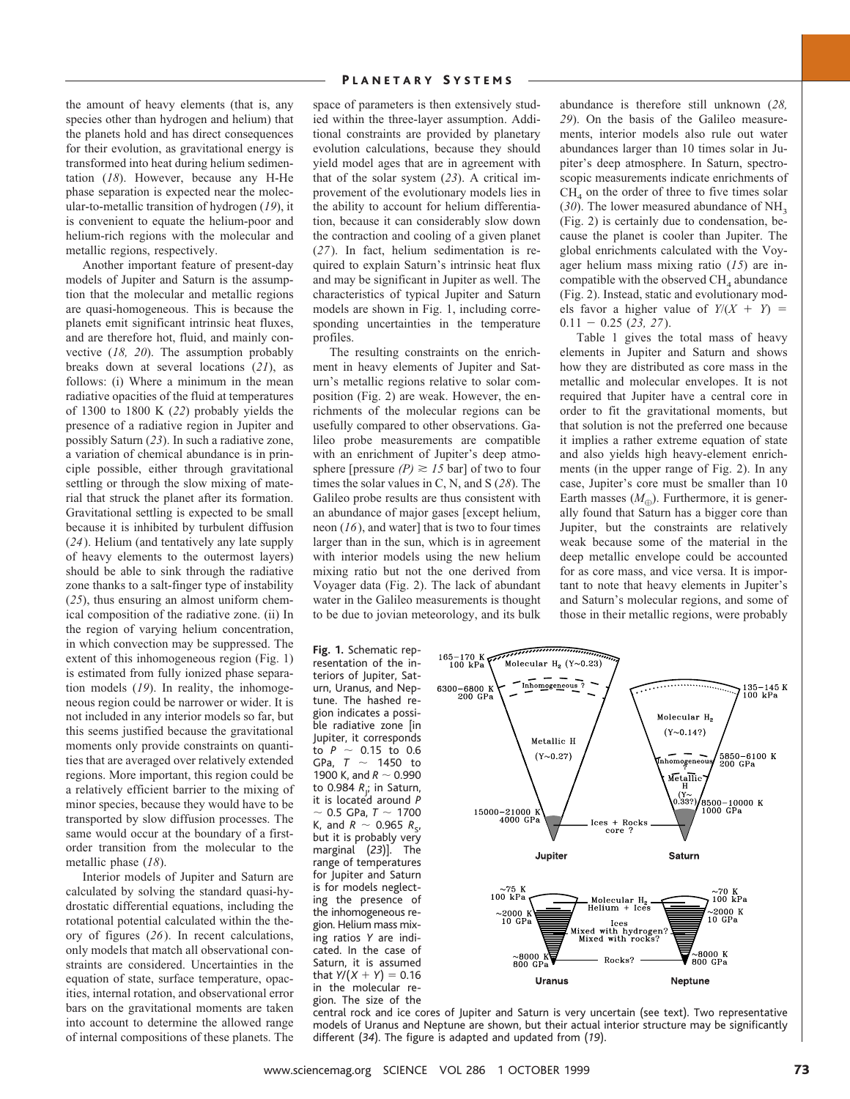the amount of heavy elements (that is, any species other than hydrogen and helium) that the planets hold and has direct consequences for their evolution, as gravitational energy is transformed into heat during helium sedimentation (*18*). However, because any H-He phase separation is expected near the molecular-to-metallic transition of hydrogen (*19*), it is convenient to equate the helium-poor and helium-rich regions with the molecular and metallic regions, respectively.

Another important feature of present-day models of Jupiter and Saturn is the assumption that the molecular and metallic regions are quasi-homogeneous. This is because the planets emit significant intrinsic heat fluxes, and are therefore hot, fluid, and mainly convective (*18, 20*). The assumption probably breaks down at several locations (*21*), as follows: (i) Where a minimum in the mean radiative opacities of the fluid at temperatures of 1300 to 1800 K (*22*) probably yields the presence of a radiative region in Jupiter and possibly Saturn (*23*). In such a radiative zone, a variation of chemical abundance is in principle possible, either through gravitational settling or through the slow mixing of material that struck the planet after its formation. Gravitational settling is expected to be small because it is inhibited by turbulent diffusion (*24*). Helium (and tentatively any late supply of heavy elements to the outermost layers) should be able to sink through the radiative zone thanks to a salt-finger type of instability (*25*), thus ensuring an almost uniform chemical composition of the radiative zone. (ii) In the region of varying helium concentration, in which convection may be suppressed. The extent of this inhomogeneous region (Fig. 1) is estimated from fully ionized phase separation models (*19*). In reality, the inhomogeneous region could be narrower or wider. It is not included in any interior models so far, but this seems justified because the gravitational moments only provide constraints on quantities that are averaged over relatively extended regions. More important, this region could be a relatively efficient barrier to the mixing of minor species, because they would have to be transported by slow diffusion processes. The same would occur at the boundary of a firstorder transition from the molecular to the metallic phase (*18*).

Interior models of Jupiter and Saturn are calculated by solving the standard quasi-hydrostatic differential equations, including the rotational potential calculated within the theory of figures (*26*). In recent calculations, only models that match all observational constraints are considered. Uncertainties in the equation of state, surface temperature, opacities, internal rotation, and observational error bars on the gravitational moments are taken into account to determine the allowed range of internal compositions of these planets. The space of parameters is then extensively studied within the three-layer assumption. Additional constraints are provided by planetary evolution calculations, because they should yield model ages that are in agreement with that of the solar system (*23*). A critical improvement of the evolutionary models lies in the ability to account for helium differentiation, because it can considerably slow down the contraction and cooling of a given planet (*27*). In fact, helium sedimentation is required to explain Saturn's intrinsic heat flux and may be significant in Jupiter as well. The characteristics of typical Jupiter and Saturn models are shown in Fig. 1, including corresponding uncertainties in the temperature profiles.

The resulting constraints on the enrichment in heavy elements of Jupiter and Saturn's metallic regions relative to solar composition (Fig. 2) are weak. However, the enrichments of the molecular regions can be usefully compared to other observations. Galileo probe measurements are compatible with an enrichment of Jupiter's deep atmosphere [pressure  $(P) \ge 15$  bar] of two to four times the solar values in C, N, and S (*28*). The Galileo probe results are thus consistent with an abundance of major gases [except helium, neon (*16*), and water] that is two to four times larger than in the sun, which is in agreement with interior models using the new helium mixing ratio but not the one derived from Voyager data (Fig. 2). The lack of abundant water in the Galileo measurements is thought to be due to jovian meteorology, and its bulk

**Fig. 1.** Schematic representation of the interiors of Jupiter, Saturn, Uranus, and Neptune. The hashed region indicates a possible radiative zone [in Jupiter, it corresponds to  $P \sim 0.15$  to 0.6 GPa,  $T \sim 1450$  to 1900 K, and  $R \sim 0.990$ to 0.984 *R*<sub>J</sub>; in Saturn, it is located around *P* 0.5 GPa,  $T \sim 1700$ K, and  $R \sim 0.965 R_{\rm s}$ , but it is probably very marginal (*23*)]. The range of temperatures for Jupiter and Saturn is for models neglecting the presence of the inhomogeneous region. Helium mass mixing ratios *Y* are indicated. In the case of Saturn, it is assumed that  $Y/(X + Y) = 0.16$ in the molecular region. The size of the

abundance is therefore still unknown (*28, 29*). On the basis of the Galileo measurements, interior models also rule out water abundances larger than 10 times solar in Jupiter's deep atmosphere. In Saturn, spectroscopic measurements indicate enrichments of  $CH<sub>4</sub>$  on the order of three to five times solar ( $30$ ). The lower measured abundance of NH<sub>3</sub> (Fig. 2) is certainly due to condensation, because the planet is cooler than Jupiter. The global enrichments calculated with the Voyager helium mass mixing ratio (*15*) are incompatible with the observed  $CH<sub>4</sub>$  abundance (Fig. 2). Instead, static and evolutionary models favor a higher value of  $Y/(X + Y) =$  $0.11 - 0.25$  (23, 27).

Table 1 gives the total mass of heavy elements in Jupiter and Saturn and shows how they are distributed as core mass in the metallic and molecular envelopes. It is not required that Jupiter have a central core in order to fit the gravitational moments, but that solution is not the preferred one because it implies a rather extreme equation of state and also yields high heavy-element enrichments (in the upper range of Fig. 2). In any case, Jupiter's core must be smaller than 10 Earth masses  $(M_{\odot})$ . Furthermore, it is generally found that Saturn has a bigger core than Jupiter, but the constraints are relatively weak because some of the material in the deep metallic envelope could be accounted for as core mass, and vice versa. It is important to note that heavy elements in Jupiter's and Saturn's molecular regions, and some of those in their metallic regions, were probably



central rock and ice cores of Jupiter and Saturn is very uncertain (see text). Two representative models of Uranus and Neptune are shown, but their actual interior structure may be significantly different (*34*). The figure is adapted and updated from (*19*).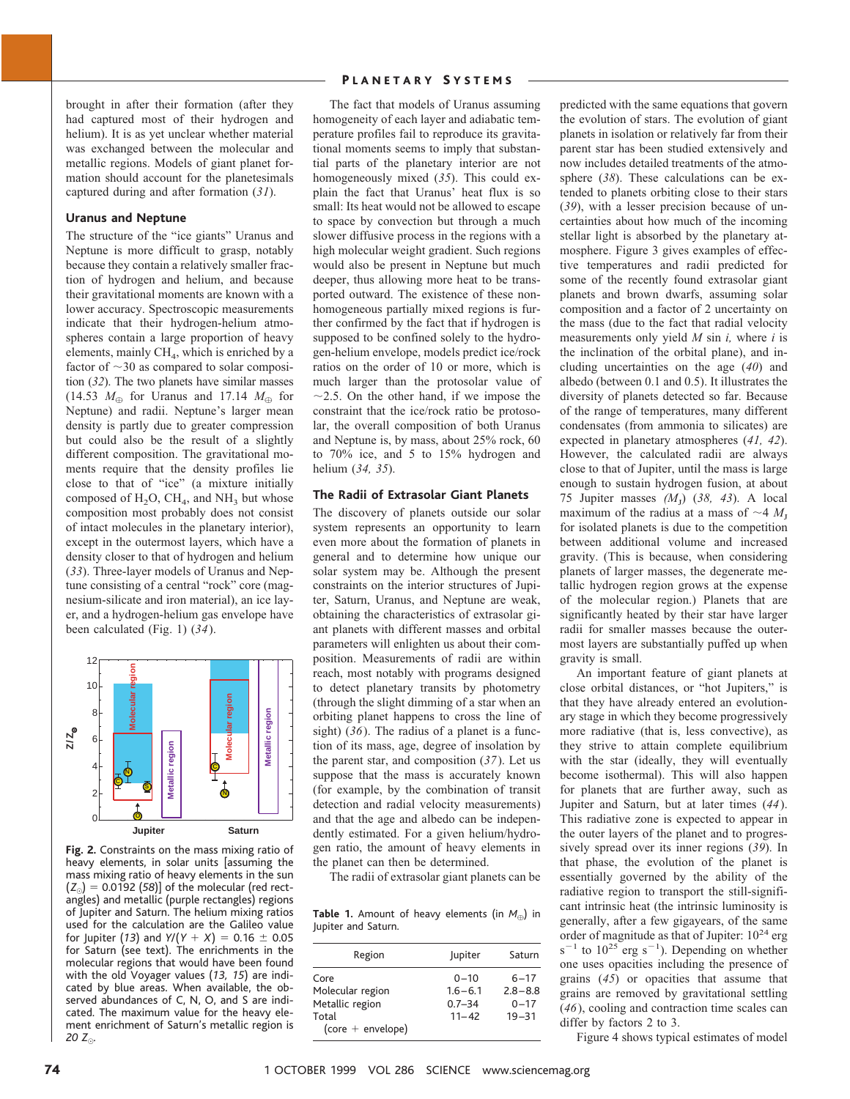brought in after their formation (after they had captured most of their hydrogen and helium). It is as yet unclear whether material was exchanged between the molecular and metallic regions. Models of giant planet formation should account for the planetesimals captured during and after formation (*31*).

### **Uranus and Neptune**

The structure of the "ice giants" Uranus and Neptune is more difficult to grasp, notably because they contain a relatively smaller fraction of hydrogen and helium, and because their gravitational moments are known with a lower accuracy. Spectroscopic measurements indicate that their hydrogen-helium atmospheres contain a large proportion of heavy elements, mainly  $CH<sub>4</sub>$ , which is enriched by a factor of  $\sim$ 30 as compared to solar composition (*32*). The two planets have similar masses (14.53  $M_{\oplus}$  for Uranus and 17.14  $M_{\oplus}$  for Neptune) and radii. Neptune's larger mean density is partly due to greater compression but could also be the result of a slightly different composition. The gravitational moments require that the density profiles lie close to that of "ice" (a mixture initially composed of  $H_2O$ ,  $CH_4$ , and  $NH_3$  but whose composition most probably does not consist of intact molecules in the planetary interior), except in the outermost layers, which have a density closer to that of hydrogen and helium (*33*). Three-layer models of Uranus and Neptune consisting of a central "rock" core (magnesium-silicate and iron material), an ice layer, and a hydrogen-helium gas envelope have been calculated (Fig. 1) (*34*).



**Fig. 2.** Constraints on the mass mixing ratio of heavy elements, in solar units [assuming the mass mixing ratio of heavy elements in the sun  $(Z_{\odot}) = 0.0192$  (58)] of the molecular (red rectangles) and metallic (purple rectangles) regions of Jupiter and Saturn. The helium mixing ratios used for the calculation are the Galileo value for Jupiter (13) and  $Y/(Y + X) = 0.16 \pm 0.05$ for Saturn (see text). The enrichments in the molecular regions that would have been found with the old Voyager values (*13, 15*) are indicated by blue areas. When available, the observed abundances of C, N, O, and S are indicated. The maximum value for the heavy element enrichment of Saturn's metallic region is *20*  $Z_{\odot}$ .

## PLANETARY SYSTEMS

The fact that models of Uranus assuming homogeneity of each layer and adiabatic temperature profiles fail to reproduce its gravitational moments seems to imply that substantial parts of the planetary interior are not homogeneously mixed (*35*). This could explain the fact that Uranus' heat flux is so small: Its heat would not be allowed to escape to space by convection but through a much slower diffusive process in the regions with a high molecular weight gradient. Such regions would also be present in Neptune but much deeper, thus allowing more heat to be transported outward. The existence of these nonhomogeneous partially mixed regions is further confirmed by the fact that if hydrogen is supposed to be confined solely to the hydrogen-helium envelope, models predict ice/rock ratios on the order of 10 or more, which is much larger than the protosolar value of  $\sim$ 2.5. On the other hand, if we impose the constraint that the ice/rock ratio be protosolar, the overall composition of both Uranus and Neptune is, by mass, about 25% rock, 60 to 70% ice, and 5 to 15% hydrogen and helium (*34, 35*).

## **The Radii of Extrasolar Giant Planets**

The discovery of planets outside our solar system represents an opportunity to learn even more about the formation of planets in general and to determine how unique our solar system may be. Although the present constraints on the interior structures of Jupiter, Saturn, Uranus, and Neptune are weak, obtaining the characteristics of extrasolar giant planets with different masses and orbital parameters will enlighten us about their composition. Measurements of radii are within reach, most notably with programs designed to detect planetary transits by photometry (through the slight dimming of a star when an orbiting planet happens to cross the line of sight) (*36*). The radius of a planet is a function of its mass, age, degree of insolation by the parent star, and composition (*37*). Let us suppose that the mass is accurately known (for example, by the combination of transit detection and radial velocity measurements) and that the age and albedo can be independently estimated. For a given helium/hydrogen ratio, the amount of heavy elements in the planet can then be determined.

The radii of extrasolar giant planets can be

Table 1. Amount of heavy elements (in  $M_{\oplus}$ ) in Jupiter and Saturn.

| Region                                                                      | Jupiter                                            | Saturn                                           |
|-----------------------------------------------------------------------------|----------------------------------------------------|--------------------------------------------------|
| Core<br>Molecular region<br>Metallic region<br>Total<br>$(core + envelope)$ | $0 - 10$<br>$1.6 - 6.1$<br>$0.7 - 34$<br>$11 - 42$ | $6 - 17$<br>$7.8 - 8.8$<br>$0 - 17$<br>$19 - 31$ |

predicted with the same equations that govern the evolution of stars. The evolution of giant planets in isolation or relatively far from their parent star has been studied extensively and now includes detailed treatments of the atmosphere (*38*). These calculations can be extended to planets orbiting close to their stars (*39*), with a lesser precision because of uncertainties about how much of the incoming stellar light is absorbed by the planetary atmosphere. Figure 3 gives examples of effective temperatures and radii predicted for some of the recently found extrasolar giant planets and brown dwarfs, assuming solar composition and a factor of 2 uncertainty on the mass (due to the fact that radial velocity measurements only yield *M* sin *i,* where *i* is the inclination of the orbital plane), and including uncertainties on the age (*40*) and albedo (between 0.1 and 0.5). It illustrates the diversity of planets detected so far. Because of the range of temperatures, many different condensates (from ammonia to silicates) are expected in planetary atmospheres (*41, 42*). However, the calculated radii are always close to that of Jupiter, until the mass is large enough to sustain hydrogen fusion, at about 75 Jupiter masses  $(M_1)$  (38, 43). A local maximum of the radius at a mass of  $\sim$ 4  $M_{\text{I}}$ for isolated planets is due to the competition between additional volume and increased gravity. (This is because, when considering planets of larger masses, the degenerate metallic hydrogen region grows at the expense of the molecular region.) Planets that are significantly heated by their star have larger radii for smaller masses because the outermost layers are substantially puffed up when gravity is small.

An important feature of giant planets at close orbital distances, or "hot Jupiters," is that they have already entered an evolutionary stage in which they become progressively more radiative (that is, less convective), as they strive to attain complete equilibrium with the star (ideally, they will eventually become isothermal). This will also happen for planets that are further away, such as Jupiter and Saturn, but at later times (*44*). This radiative zone is expected to appear in the outer layers of the planet and to progressively spread over its inner regions (*39*). In that phase, the evolution of the planet is essentially governed by the ability of the radiative region to transport the still-significant intrinsic heat (the intrinsic luminosity is generally, after a few gigayears, of the same order of magnitude as that of Jupiter:  $10^{24}$  erg  $s^{-1}$  to  $10^{25}$  erg  $s^{-1}$ ). Depending on whether one uses opacities including the presence of grains (*45*) or opacities that assume that grains are removed by gravitational settling (*46*), cooling and contraction time scales can differ by factors 2 to 3.

Figure 4 shows typical estimates of model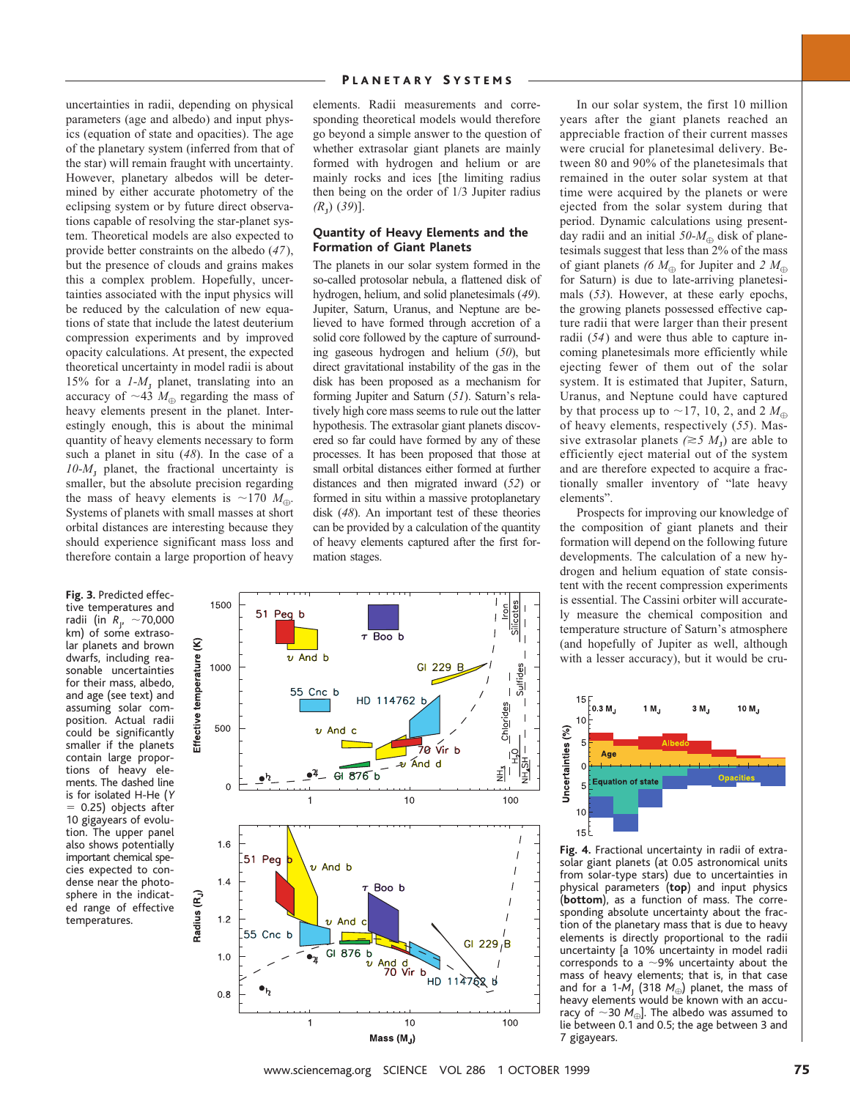uncertainties in radii, depending on physical parameters (age and albedo) and input physics (equation of state and opacities). The age of the planetary system (inferred from that of the star) will remain fraught with uncertainty. However, planetary albedos will be determined by either accurate photometry of the eclipsing system or by future direct observations capable of resolving the star-planet system. Theoretical models are also expected to provide better constraints on the albedo (*47*), but the presence of clouds and grains makes this a complex problem. Hopefully, uncertainties associated with the input physics will be reduced by the calculation of new equations of state that include the latest deuterium compression experiments and by improved opacity calculations. At present, the expected theoretical uncertainty in model radii is about 15% for a  $1-M_J$  planet, translating into an accuracy of  $\sim$ 43  $M_{\oplus}$  regarding the mass of heavy elements present in the planet. Interestingly enough, this is about the minimal quantity of heavy elements necessary to form such a planet in situ (*48*). In the case of a  $10-M$ <sub>r</sub> planet, the fractional uncertainty is smaller, but the absolute precision regarding the mass of heavy elements is  $\sim$ 170 *M*<sub> $\oplus$ </sub>. Systems of planets with small masses at short orbital distances are interesting because they should experience significant mass loss and therefore contain a large proportion of heavy

**Fig. 3.** Predicted effective temperatures and radii (in *R<sub>J</sub>,* ~70,000 km) of some extrasolar planets and brown dwarfs, including reasonable uncertainties for their mass, albedo, and age (see text) and assuming solar composition. Actual radii could be significantly smaller if the planets contain large proportions of heavy elements. The dashed line is for isolated H-He (*Y*  $= 0.25$ ) objects after 10 gigayears of evolution. The upper panel also shows potentially important chemical species expected to condense near the photosphere in the indicated range of effective temperatures.

elements. Radii measurements and corresponding theoretical models would therefore go beyond a simple answer to the question of whether extrasolar giant planets are mainly formed with hydrogen and helium or are mainly rocks and ices [the limiting radius then being on the order of 1/3 Jupiter radius *(R*<sup>J</sup> ) (*39*)].

## **Quantity of Heavy Elements and the Formation of Giant Planets**

The planets in our solar system formed in the so-called protosolar nebula, a flattened disk of hydrogen, helium, and solid planetesimals (*49*). Jupiter, Saturn, Uranus, and Neptune are believed to have formed through accretion of a solid core followed by the capture of surrounding gaseous hydrogen and helium (*50*), but direct gravitational instability of the gas in the disk has been proposed as a mechanism for forming Jupiter and Saturn (*51*). Saturn's relatively high core mass seems to rule out the latter hypothesis. The extrasolar giant planets discovered so far could have formed by any of these processes. It has been proposed that those at small orbital distances either formed at further distances and then migrated inward (*52*) or formed in situ within a massive protoplanetary disk (*48*). An important test of these theories can be provided by a calculation of the quantity of heavy elements captured after the first formation stages.



In our solar system, the first 10 million years after the giant planets reached an appreciable fraction of their current masses were crucial for planetesimal delivery. Between 80 and 90% of the planetesimals that remained in the outer solar system at that time were acquired by the planets or were ejected from the solar system during that period. Dynamic calculations using presentday radii and an initial  $50-M_{\oplus}$  disk of planetesimals suggest that less than 2% of the mass of giant planets (6  $M_{\oplus}$  for Jupiter and 2  $M_{\oplus}$ for Saturn) is due to late-arriving planetesimals (*53*). However, at these early epochs, the growing planets possessed effective capture radii that were larger than their present radii (*54*) and were thus able to capture incoming planetesimals more efficiently while ejecting fewer of them out of the solar system. It is estimated that Jupiter, Saturn, Uranus, and Neptune could have captured by that process up to  $\sim$ 17, 10, 2, and 2  $M_{\oplus}$ of heavy elements, respectively (*55*). Massive extrasolar planets  $(\geq 5 M_J)$  are able to efficiently eject material out of the system and are therefore expected to acquire a fractionally smaller inventory of "late heavy elements".

Prospects for improving our knowledge of the composition of giant planets and their formation will depend on the following future developments. The calculation of a new hydrogen and helium equation of state consistent with the recent compression experiments is essential. The Cassini orbiter will accurately measure the chemical composition and temperature structure of Saturn's atmosphere (and hopefully of Jupiter as well, although with a lesser accuracy), but it would be cru-



**Fig. 4.** Fractional uncertainty in radii of extrasolar giant planets (at 0.05 astronomical units from solar-type stars) due to uncertainties in physical parameters (**top**) and input physics (**bottom**), as a function of mass. The corresponding absolute uncertainty about the fraction of the planetary mass that is due to heavy elements is directly proportional to the radii uncertainty [a 10% uncertainty in model radii corresponds to a  $\sim$ 9% uncertainty about the mass of heavy elements; that is, in that case and for a 1- $M<sub>1</sub>$  (318  $M<sub>oplus</sub>$ ) planet, the mass of heavy elements would be known with an accuracy of  $\sim$ 30 *M*<sub> $\oplus$ </sub>]. The albedo was assumed to lie between 0.1 and 0.5; the age between 3 and 7 gigayears.

www.sciencemag.org SCIENCE VOL 286 1 OCTOBER 1999 75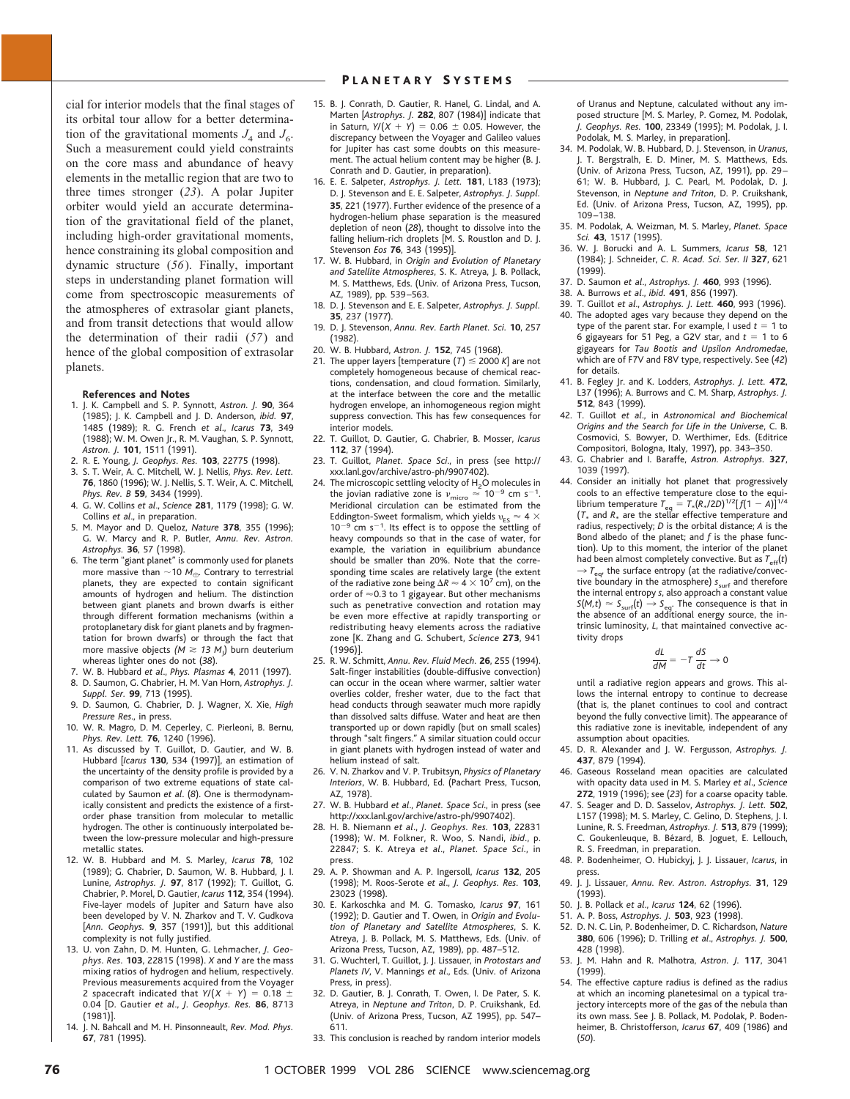cial for interior models that the final stages of its orbital tour allow for a better determination of the gravitational moments  $J_4$  and  $J_6$ . Such a measurement could yield constraints on the core mass and abundance of heavy elements in the metallic region that are two to three times stronger (*23*). A polar Jupiter orbiter would yield an accurate determination of the gravitational field of the planet, including high-order gravitational moments, hence constraining its global composition and dynamic structure (*56*). Finally, important steps in understanding planet formation will come from spectroscopic measurements of the atmospheres of extrasolar giant planets, and from transit detections that would allow the determination of their radii (*57*) and hence of the global composition of extrasolar planets.

#### **References and Notes**

- 1. J. K. Campbell and S. P. Synnott, *Astron. J.* **90**, 364 (1985); J. K. Campbell and J. D. Anderson, *ibid.* **97**, 1485 (1989); R. G. French *et al*., *Icarus* **73**, 349 (1988); W. M. Owen Jr., R. M. Vaughan, S. P. Synnott, *Astron. J.* **101**, 1511 (1991).
- 2. R. E. Young, *J. Geophys. Res.* **103**, 22775 (1998).
- 3. S. T. Weir, A. C. Mitchell, W. J. Nellis, *Phys. Rev. Lett.* **76**, 1860 (1996); W. J. Nellis, S. T. Weir, A. C. Mitchell, *Phys. Rev. B* **59**, 3434 (1999).
- 4. G. W. Collins *et al*., *Science* **281**, 1179 (1998); G. W. Collins *et al*., in preparation.
- 5. M. Mayor and D. Queloz, *Nature* **378**, 355 (1996); G. W. Marcy and R. P. Butler, *Annu. Rev. Astron. Astrophys.* **36**, 57 (1998).
- 6. The term "giant planet" is commonly used for planets more massive than  $\sim$  10 *M*<sub> $\alpha$ </sub>. Contrary to terrestrial planets, they are expected to contain significant amounts of hydrogen and helium. The distinction between giant planets and brown dwarfs is either through different formation mechanisms (within a protoplanetary disk for giant planets and by fragmentation for brown dwarfs) or through the fact that more massive objects  $(M \geq 13 \ M_{\rm J})$  burn deuterium whereas lighter ones do not (*38*).
- 7. W. B. Hubbard *et al*., *Phys. Plasmas* **4**, 2011 (1997). 8. D. Saumon, G. Chabrier, H. M. Van Horn, *Astrophys. J.*
- *Suppl. Ser.* **99**, 713 (1995). 9. D. Saumon, G. Chabrier, D. J. Wagner, X. Xie, *High*
- *Pressure Res*., in press. 10. W. R. Magro, D. M. Ceperley, C. Pierleoni, B. Bernu,
- *Phys. Rev. Lett.* **76**, 1240 (1996).
- 11. As discussed by T. Guillot, D. Gautier, and W. B. Hubbard [*Icarus* **130**, 534 (1997)], an estimation of the uncertainty of the density profile is provided by a comparison of two extreme equations of state calculated by Saumon *et al*. (*8*). One is thermodynamically consistent and predicts the existence of a firstorder phase transition from molecular to metallic hydrogen. The other is continuously interpolated between the low-pressure molecular and high-pressure metallic states.
- 12. W. B. Hubbard and M. S. Marley, *Icarus* **78**, 102 (1989); G. Chabrier, D. Saumon, W. B. Hubbard, J. I. Lunine, *Astrophys. J.* **97**, 817 (1992); T. Guillot, G. Chabrier, P. Morel, D. Gautier, *Icarus* **112**, 354 (1994). Five-layer models of Jupiter and Saturn have also been developed by V. N. Zharkov and T. V. Gudkova [*Ann. Geophys.* **9**, 357 (1991)], but this additional complexity is not fully justified.
- 13. U. von Zahn, D. M. Hunten, G. Lehmacher, *J. Geophys. Res.* **103**, 22815 (1998). *X* and *Y* are the mass mixing ratios of hydrogen and helium, respectively. Previous measurements acquired from the Voyager 2 spacecraft indicated that  $Y/(X + Y) = 0.18 + 10$ 0.04 [D. Gautier *et al*., *J. Geophys. Res.* **86**, 8713 (1981)].
- 14. J. N. Bahcall and M. H. Pinsonneault, *Rev. Mod. Phys.* **67**, 781 (1995).

### PLANETARY SYSTEMS

- 15. B. J. Conrath, D. Gautier, R. Hanel, G. Lindal, and A. Marten [*Astrophys. J.* **282**, 807 (1984)] indicate that in Saturn,  $Y/(X + Y) = 0.06 \pm 0.05$ . However, the discrepancy between the Voyager and Galileo values for Jupiter has cast some doubts on this measurement. The actual helium content may be higher (B. J. Conrath and D. Gautier, in preparation).
- 16. E. E. Salpeter, *Astrophys. J. Lett.* **181**, L183 (1973); D. J. Stevenson and E. E. Salpeter, *Astrophys. J. Suppl.* **35**, 221 (1977). Further evidence of the presence of a hydrogen-helium phase separation is the measured depletion of neon (*28*), thought to dissolve into the falling helium-rich droplets [M. S. Roustlon and D. J. Stevenson *Eos* **76**, 343 (1995)].
- 17. W. B. Hubbard, in *Origin and Evolution of Planetary and Satellite Atmospheres*, S. K. Atreya, J. B. Pollack, M. S. Matthews, Eds. (Univ. of Arizona Press, Tucson, AZ, 1989), pp. 539–563.
- 18. D. J. Stevenson and E. E. Salpeter, *Astrophys. J. Suppl.* **35**, 237 (1977).
- 19. D. J. Stevenson, *Annu. Rev. Earth Planet. Sci.* **10**, 257 (1982).
- 20. W. B. Hubbard, *Astron. J.* **152**, 745 (1968).
- 21. The upper layers [temperature  $(T) \le 2000 K$ ] are not completely homogeneous because of chemical reactions, condensation, and cloud formation. Similarly, at the interface between the core and the metallic hydrogen envelope, an inhomogeneous region might suppress convection. This has few consequences for interior models.
- 22. T. Guillot, D. Gautier, G. Chabrier, B. Mosser, *Icarus* **112**, 37 (1994).
- 23. T. Guillot, *Planet. Space Sci*., in press (see http:// xxx.lanl.gov/archive/astro-ph/9907402).
- 24. The microscopic settling velocity of  $H<sub>2</sub>O$  molecules in the jovian radiative zone is  $\nu_{\text{micro}} \approx 10^{-9}$  cm s<sup>-1</sup>.<br>Meridional circulation can be estimated from the Eddington-Sweet formalism, which yields  $v_{ES} \approx 4 \times 10^{-10}$  $10^{-9}$  cm s<sup>-1</sup>. Its effect is to oppose the settling of heavy compounds so that in the case of water, for example, the variation in equilibrium abundance should be smaller than 20%. Note that the corresponding time scales are relatively large (the extent of the radiative zone being  $\Delta R \approx 4 \times 10^7$  cm), on the order of  $\approx$  0.3 to 1 gigayear. But other mechanisms such as penetrative convection and rotation may be even more effective at rapidly transporting or redistributing heavy elements across the radiative zone [K. Zhang and G. Schubert, *Science* **273**, 941 (1996)].
- 25. R. W. Schmitt, *Annu. Rev. Fluid Mech.* **26**, 255 (1994). Salt-finger instabilities (double-diffusive convection) can occur in the ocean where warmer, saltier water overlies colder, fresher water, due to the fact that head conducts through seawater much more rapidly than dissolved salts diffuse. Water and heat are then transported up or down rapidly (but on small scales) through "salt fingers." A similar situation could occur in giant planets with hydrogen instead of water and helium instead of salt.
- 26. V. N. Zharkov and V. P. Trubitsyn, *Physics of Planetary Interiors*, W. B. Hubbard, Ed. (Pachart Press, Tucson, AZ, 1978).
- 27. W. B. Hubbard *et al*., *Planet. Space Sci*., in press (see http://xxx.lanl.gov/archive/astro-ph/9907402).
- 28. H. B. Niemann *et al*., *J. Geophys. Res.* **103**, 22831 (1998); W. M. Folkner, R. Woo, S. Nandi, *ibid*., p. 22847; S. K. Atreya *et al*., *Planet. Space Sci*., in press.
- 29. A. P. Showman and A. P. Ingersoll, *Icarus* **132**, 205 (1998); M. Roos-Serote *et al*., *J. Geophys. Res.* **103**, 23023 (1998).
- 30. E. Karkoschka and M. G. Tomasko, *Icarus* **97**, 161 (1992); D. Gautier and T. Owen, in *Origin and Evolution of Planetary and Satellite Atmospheres*, S. K. Atreya, J. B. Pollack, M. S. Matthews, Eds. (Univ. of Arizona Press, Tucson, AZ, 1989), pp. 487–512.
- 31. G. Wuchterl, T. Guillot, J. J. Lissauer, in *Protostars and Planets IV*, V. Mannings *et al*., Eds. (Univ. of Arizona Press, in press).
- 32. D. Gautier, B. J. Conrath, T. Owen, I. De Pater, S. K. Atreya, in *Neptune and Triton*, D. P. Cruikshank, Ed. (Univ. of Arizona Press, Tucson, AZ 1995), pp. 547– 611.
- 33. This conclusion is reached by random interior models

of Uranus and Neptune, calculated without any imposed structure [M. S. Marley, P. Gomez, M. Podolak, *J. Geophys. Res.* **100**, 23349 (1995); M. Podolak, J. I. Podolak, M. S. Marley, in preparation].

- 34. M. Podolak, W. B. Hubbard, D. J. Stevenson, in *Uranus*, T. Bergstralh, E. D. Miner, M. S. Matthews, Eds. (Univ. of Arizona Press, Tucson, AZ, 1991), pp. 29– 61; W. B. Hubbard, J. C. Pearl, M. Podolak, D. J. Stevenson, in *Neptune and Triton*, D. P. Cruikshank, Ed. (Univ. of Arizona Press, Tucson, AZ, 1995), pp. 109–138.
- 35. M. Podolak, A. Weizman, M. S. Marley, *Planet. Space Sci.* **43**, 1517 (1995).
- 36. W. J. Borucki and A. L. Summers, *Icarus* **58**, 121 (1984); J. Schneider, *C. R. Acad. Sci. Ser. II* **327**, 621 (1999).
- 37. D. Saumon *et al*., *Astrophys. J.* **460**, 993 (1996).
- 38. A. Burrows *et al*., *ibid.* **491**, 856 (1997).
- 39. T. Guillot *et al*., *Astrophys. J. Lett.* **460**, 993 (1996). 40. The adopted ages vary because they depend on the type of the parent star. For example, I used  $t = 1$  to 6 gigayears for 51 Peg, a G2V star, and  $t = 1$  to 6
- gigayears for *Tau Bootis and Upsilon Andromedae*, which are of F7V and F8V type, respectively. See (*42*) for details. 41. B. Fegley Jr. and K. Lodders, *Astrophys. J. Lett.* **472**,
- L37 (1996); A. Burrows and C. M. Sharp, *Astrophys. J.* **512**, 843 (1999).
- 42. T. Guillot *et al*., in *Astronomical and Biochemical Origins and the Search for Life in the Universe*, C. B. Cosmovici, S. Bowyer, D. Werthimer, Eds. (Editrice Compositori, Bologna, Italy, 1997), pp. 343–350.
- 43. G. Chabrier and I. Baraffe, *Astron. Astrophys.* **327**, 1039 (1997).
- 44. Consider an initially hot planet that progressively cools to an effective temperature close to the equi-<br>librium temperature  $T_{\text{eq}} = T_*(R_*/2D)^{1/2}[f(1-A)]^{1/4}$  $(T_*$  and  $R_*$  are the stellar effective temperature and radius, respectively; *D* is the orbital distance; *A* is the Bond albedo of the planet; and *f* is the phase function). Up to this moment, the interior of the planet had been almost completely convective. But as  $T_{\text{eff}}(t)$  $\rightarrow$   $T_{\text{eq}}$ , the surface entropy (at the radiative/convective boundary in the atmosphere) *s*<sub>surf</sub> and therefore the internal entropy *s*, also approach a constant value  $S(M,t) \approx S_{\text{surf}}(t) \rightarrow S_{\text{eq}}$ . The consequence is that in the absence of an additional energy source, the intrinsic luminosity, *L*, that maintained convective activity drops

$$
\frac{dL}{dM} = -T \frac{dS}{dt} \to 0
$$

until a radiative region appears and grows. This allows the internal entropy to continue to decrease (that is, the planet continues to cool and contract beyond the fully convective limit). The appearance of this radiative zone is inevitable, independent of any assumption about opacities.

- 45. D. R. Alexander and J. W. Fergusson, *Astrophys. J.* **437**, 879 (1994).
- 46. Gaseous Rosseland mean opacities are calculated with opacity data used in M. S. Marley *et al*., *Science* **272**, 1919 (1996); see (*23*) for a coarse opacity table.
- 47. S. Seager and D. D. Sasselov, *Astrophys. J. Lett.* **502**, L157 (1998); M. S. Marley, C. Gelino, D. Stephens, J. I. Lunine, R. S. Freedman, *Astrophys. J.* **513**, 879 (1999); C. Goukenleuque, B. Bézard, B. Joguet, E. Lellouch, R. S. Freedman, in preparation.
- 48. P. Bodenheimer, O. Hubickyj, J. J. Lissauer, *Icarus*, in press.
- 49. J. J. Lissauer, *Annu. Rev. Astron. Astrophys.* **31**, 129 (1993).
- 50. J. B. Pollack *et al*., *Icarus* **124**, 62 (1996).
- 51. A. P. Boss, *Astrophys. J.* **503**, 923 (1998).
- 52. D. N. C. Lin, P. Bodenheimer, D. C. Richardson, *Nature* **380**, 606 (1996); D. Trilling *et al*., *Astrophys. J.* **500**, 428 (1998).
- 53. J. M. Hahn and R. Malhotra, *Astron. J.* **117**, 3041 (1999).
- 54. The effective capture radius is defined as the radius at which an incoming planetesimal on a typical trajectory intercepts more of the gas of the nebula than its own mass. See J. B. Pollack, M. Podolak, P. Bodenheimer, B. Christofferson, *Icarus* **67**, 409 (1986) and (*50*).